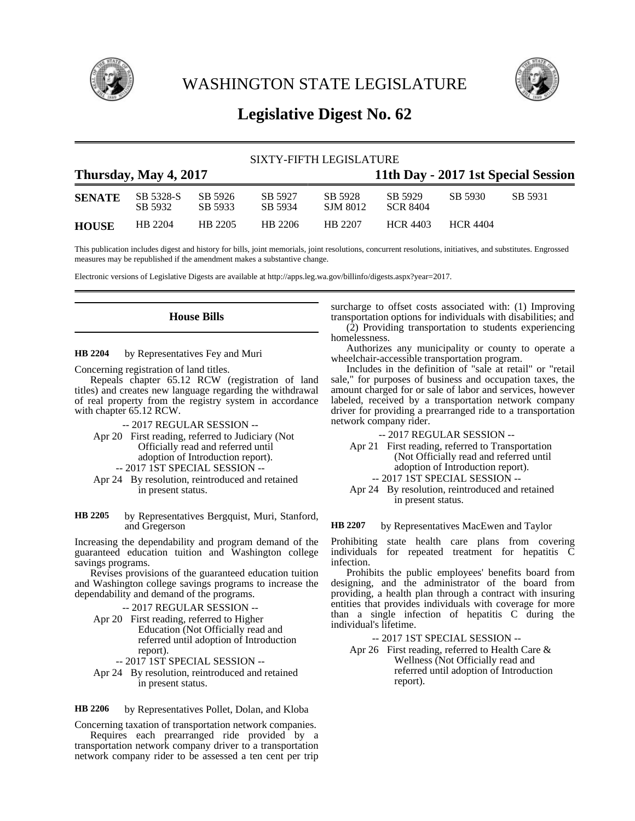

WASHINGTON STATE LEGISLATURE



# **Legislative Digest No. 62**

## SIXTY-FIFTH LEGISLATURE **Thursday, May 4, 2017 11th Day - 2017 1st Special Session SENATE** SB 5328-S SB 5926 SB 5927 SB 5928 SB 5929 SB 5930 SB 5931 SB 5932 SB 5933 SB 5934 SJM 8012 SCR 8404 **HOUSE** HB 2204 HB 2205 HB 2206 HB 2207 HCR 4403 HCR 4404

This publication includes digest and history for bills, joint memorials, joint resolutions, concurrent resolutions, initiatives, and substitutes. Engrossed measures may be republished if the amendment makes a substantive change.

Electronic versions of Legislative Digests are available at http://apps.leg.wa.gov/billinfo/digests.aspx?year=2017.

**House Bills**

by Representatives Fey and Muri **HB 2204**

Concerning registration of land titles.

Repeals chapter 65.12 RCW (registration of land titles) and creates new language regarding the withdrawal of real property from the registry system in accordance with chapter 65.12 RCW.

- -- 2017 REGULAR SESSION --
- Apr 20 First reading, referred to Judiciary (Not Officially read and referred until adoption of Introduction report). -- 2017 1ST SPECIAL SESSION --
- Apr 24 By resolution, reintroduced and retained in present status.
- by Representatives Bergquist, Muri, Stanford, and Gregerson **HB 2205**

Increasing the dependability and program demand of the guaranteed education tuition and Washington college savings programs.

Revises provisions of the guaranteed education tuition and Washington college savings programs to increase the dependability and demand of the programs.

-- 2017 REGULAR SESSION --

- Apr 20 First reading, referred to Higher Education (Not Officially read and referred until adoption of Introduction report).
	- -- 2017 1ST SPECIAL SESSION --
- Apr 24 By resolution, reintroduced and retained in present status.

by Representatives Pollet, Dolan, and Kloba **HB 2206**

Concerning taxation of transportation network companies. Requires each prearranged ride provided by a transportation network company driver to a transportation network company rider to be assessed a ten cent per trip surcharge to offset costs associated with: (1) Improving transportation options for individuals with disabilities; and (2) Providing transportation to students experiencing homelessness.

Authorizes any municipality or county to operate a wheelchair-accessible transportation program.

Includes in the definition of "sale at retail" or "retail sale," for purposes of business and occupation taxes, the amount charged for or sale of labor and services, however labeled, received by a transportation network company driver for providing a prearranged ride to a transportation network company rider.

-- 2017 REGULAR SESSION --

- Apr 21 First reading, referred to Transportation (Not Officially read and referred until adoption of Introduction report). -- 2017 1ST SPECIAL SESSION --
- Apr 24 By resolution, reintroduced and retained in present status.

by Representatives MacEwen and Taylor **HB 2207**

Prohibiting state health care plans from covering individuals for repeated treatment for hepatitis  $\tilde{C}$ infection.

Prohibits the public employees' benefits board from designing, and the administrator of the board from providing, a health plan through a contract with insuring entities that provides individuals with coverage for more than a single infection of hepatitis C during the individual's lifetime.

-- 2017 1ST SPECIAL SESSION --

Apr 26 First reading, referred to Health Care & Wellness (Not Officially read and referred until adoption of Introduction report).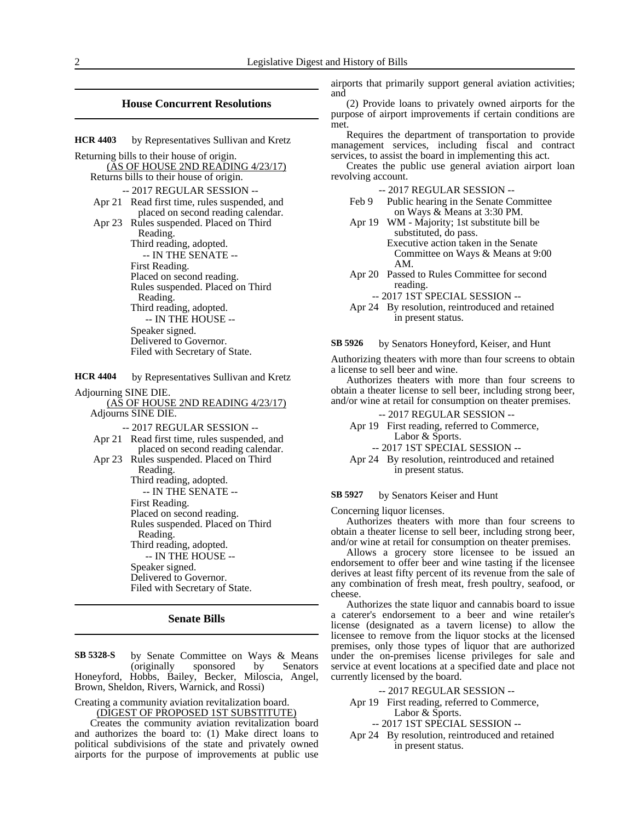### **House Concurrent Resolutions**

by Representatives Sullivan and Kretz **HCR 4403**

Returning bills to their house of origin. (AS OF HOUSE 2ND READING 4/23/17) Returns bills to their house of origin. -- 2017 REGULAR SESSION -- Apr 21 Read first time, rules suspended, and placed on second reading calendar. Apr 23 Rules suspended. Placed on Third Reading. Third reading, adopted. -- IN THE SENATE -- First Reading. Placed on second reading. Rules suspended. Placed on Third Reading. Third reading, adopted. -- IN THE HOUSE -- Speaker signed. Delivered to Governor. Filed with Secretary of State.

by Representatives Sullivan and Kretz **HCR 4404**

Adjourning SINE DIE.

(AS OF HOUSE 2ND READING 4/23/17) Adjourns SINE DIE.

-- 2017 REGULAR SESSION --

Apr 21 Read first time, rules suspended, and placed on second reading calendar. Apr 23 Rules suspended. Placed on Third Reading. Third reading, adopted. -- IN THE SENATE -- First Reading. Placed on second reading.

Rules suspended. Placed on Third Reading. Third reading, adopted. -- IN THE HOUSE -- Speaker signed.

Delivered to Governor. Filed with Secretary of State.

### **Senate Bills**

by Senate Committee on Ways & Means (originally sponsored by Senators Honeyford, Hobbs, Bailey, Becker, Miloscia, Angel, Brown, Sheldon, Rivers, Warnick, and Rossi) **SB 5328-S**

Creating a community aviation revitalization board. (DIGEST OF PROPOSED 1ST SUBSTITUTE)

Creates the community aviation revitalization board and authorizes the board to: (1) Make direct loans to political subdivisions of the state and privately owned airports for the purpose of improvements at public use

airports that primarily support general aviation activities; and

(2) Provide loans to privately owned airports for the purpose of airport improvements if certain conditions are met.

Requires the department of transportation to provide management services, including fiscal and contract services, to assist the board in implementing this act.

Creates the public use general aviation airport loan revolving account.

-- 2017 REGULAR SESSION --

- Feb 9 Public hearing in the Senate Committee on Ways & Means at 3:30 PM.
- Apr 19 WM Majority; 1st substitute bill be substituted, do pass. Executive action taken in the Senate Committee on Ways & Means at 9:00 AM.
- Apr 20 Passed to Rules Committee for second reading.

-- 2017 1ST SPECIAL SESSION --

Apr 24 By resolution, reintroduced and retained in present status.

by Senators Honeyford, Keiser, and Hunt **SB 5926**

Authorizing theaters with more than four screens to obtain a license to sell beer and wine.

Authorizes theaters with more than four screens to obtain a theater license to sell beer, including strong beer, and/or wine at retail for consumption on theater premises.

-- 2017 REGULAR SESSION --

- Apr 19 First reading, referred to Commerce, Labor & Sports.
	- -- 2017 1ST SPECIAL SESSION --
- Apr 24 By resolution, reintroduced and retained in present status.

#### by Senators Keiser and Hunt **SB 5927**

Concerning liquor licenses.

Authorizes theaters with more than four screens to obtain a theater license to sell beer, including strong beer, and/or wine at retail for consumption on theater premises.

Allows a grocery store licensee to be issued an endorsement to offer beer and wine tasting if the licensee derives at least fifty percent of its revenue from the sale of any combination of fresh meat, fresh poultry, seafood, or cheese.

Authorizes the state liquor and cannabis board to issue a caterer's endorsement to a beer and wine retailer's license (designated as a tavern license) to allow the licensee to remove from the liquor stocks at the licensed premises, only those types of liquor that are authorized under the on-premises license privileges for sale and service at event locations at a specified date and place not currently licensed by the board.

-- 2017 REGULAR SESSION --

Apr 19 First reading, referred to Commerce, Labor & Sports.

-- 2017 1ST SPECIAL SESSION --

Apr 24 By resolution, reintroduced and retained in present status.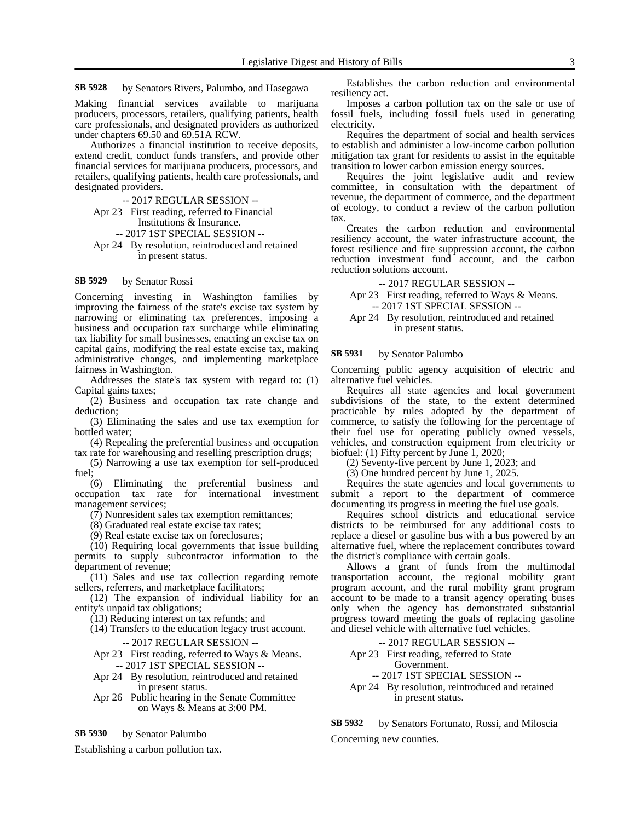by Senators Rivers, Palumbo, and Hasegawa **SB 5928**

Making financial services available to marijuana producers, processors, retailers, qualifying patients, health care professionals, and designated providers as authorized under chapters 69.50 and 69.51A RCW.

Authorizes a financial institution to receive deposits, extend credit, conduct funds transfers, and provide other financial services for marijuana producers, processors, and retailers, qualifying patients, health care professionals, and designated providers.

-- 2017 REGULAR SESSION --

Apr 23 First reading, referred to Financial Institutions & Insurance.

-- 2017 1ST SPECIAL SESSION --

Apr 24 By resolution, reintroduced and retained in present status.

#### by Senator Rossi **SB 5929**

Concerning investing in Washington families by improving the fairness of the state's excise tax system by narrowing or eliminating tax preferences, imposing a business and occupation tax surcharge while eliminating tax liability for small businesses, enacting an excise tax on capital gains, modifying the real estate excise tax, making administrative changes, and implementing marketplace fairness in Washington.

Addresses the state's tax system with regard to: (1) Capital gains taxes;

(2) Business and occupation tax rate change and deduction;

(3) Eliminating the sales and use tax exemption for bottled water;

(4) Repealing the preferential business and occupation tax rate for warehousing and reselling prescription drugs;

(5) Narrowing a use tax exemption for self-produced fuel;

(6) Eliminating the preferential business and occupation tax rate for international investment management services;

(7) Nonresident sales tax exemption remittances;

(8) Graduated real estate excise tax rates;

(9) Real estate excise tax on foreclosures;

(10) Requiring local governments that issue building permits to supply subcontractor information to the department of revenue;

(11) Sales and use tax collection regarding remote sellers, referrers, and marketplace facilitators;

(12) The expansion of individual liability for an entity's unpaid tax obligations;

(13) Reducing interest on tax refunds; and

(14) Transfers to the education legacy trust account.

-- 2017 REGULAR SESSION --

Apr 23 First reading, referred to Ways & Means. -- 2017 1ST SPECIAL SESSION --

- Apr 24 By resolution, reintroduced and retained in present status.
- Apr 26 Public hearing in the Senate Committee on Ways & Means at 3:00 PM.

by Senator Palumbo **SB 5930**

Establishing a carbon pollution tax.

Establishes the carbon reduction and environmental resiliency act.

Imposes a carbon pollution tax on the sale or use of fossil fuels, including fossil fuels used in generating electricity.

Requires the department of social and health services to establish and administer a low-income carbon pollution mitigation tax grant for residents to assist in the equitable transition to lower carbon emission energy sources.

Requires the joint legislative audit and review committee, in consultation with the department of revenue, the department of commerce, and the department of ecology, to conduct a review of the carbon pollution tax.

Creates the carbon reduction and environmental resiliency account, the water infrastructure account, the forest resilience and fire suppression account, the carbon reduction investment fund account, and the carbon reduction solutions account.

-- 2017 REGULAR SESSION --

Apr 23 First reading, referred to Ways & Means. -- 2017 1ST SPECIAL SESSION --

Apr 24 By resolution, reintroduced and retained in present status.

#### by Senator Palumbo **SB 5931**

Concerning public agency acquisition of electric and alternative fuel vehicles.

Requires all state agencies and local government subdivisions of the state, to the extent determined practicable by rules adopted by the department of commerce, to satisfy the following for the percentage of their fuel use for operating publicly owned vessels, vehicles, and construction equipment from electricity or biofuel: (1) Fifty percent by June 1, 2020;

(2) Seventy-five percent by June 1, 2023; and

(3) One hundred percent by June 1, 2025.

Requires the state agencies and local governments to submit a report to the department of commerce documenting its progress in meeting the fuel use goals.

Requires school districts and educational service districts to be reimbursed for any additional costs to replace a diesel or gasoline bus with a bus powered by an alternative fuel, where the replacement contributes toward the district's compliance with certain goals.

Allows a grant of funds from the multimodal transportation account, the regional mobility grant program account, and the rural mobility grant program account to be made to a transit agency operating buses only when the agency has demonstrated substantial progress toward meeting the goals of replacing gasoline and diesel vehicle with alternative fuel vehicles.

-- 2017 REGULAR SESSION --

Apr 23 First reading, referred to State Government.

-- 2017 1ST SPECIAL SESSION --

Apr 24 By resolution, reintroduced and retained in present status.

by Senators Fortunato, Rossi, and Miloscia **SB 5932**

Concerning new counties.